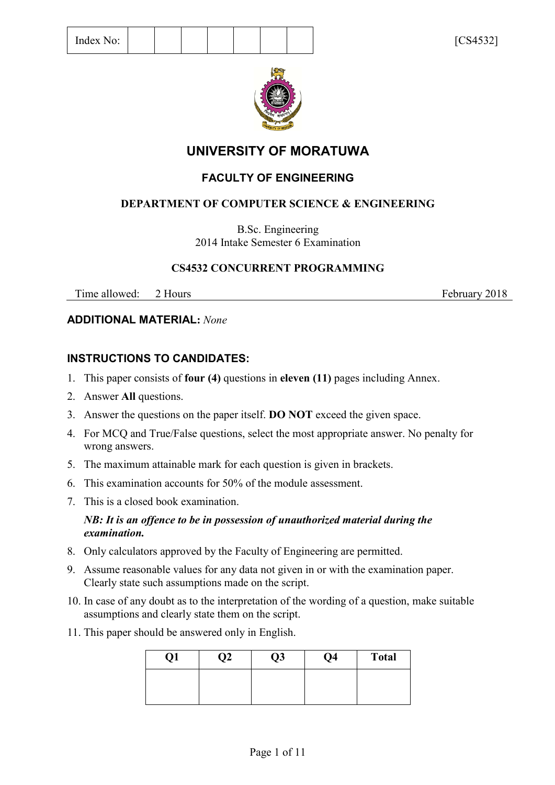

# **UNIVERSITY OF MORATUWA**

# **FACULTY OF ENGINEERING**

# **DEPARTMENT OF COMPUTER SCIENCE & ENGINEERING**

B.Sc. Engineering 2014 Intake Semester 6 Examination

# **CS4532 CONCURRENT PROGRAMMING**

Time allowed: 2 Hours February 2018

# **ADDITIONAL MATERIAL:** *None*

# **INSTRUCTIONS TO CANDIDATES:**

- 1. This paper consists of **four (4)** questions in **eleven (11)** pages including Annex.
- 2. Answer **All** questions.
- 3. Answer the questions on the paper itself. **DO NOT** exceed the given space.
- 4. For MCQ and True/False questions, select the most appropriate answer. No penalty for wrong answers.
- 5. The maximum attainable mark for each question is given in brackets.
- 6. This examination accounts for 50% of the module assessment.
- 7. This is a closed book examination.

### *NB: It is an offence to be in possession of unauthorized material during the examination.*

- 8. Only calculators approved by the Faculty of Engineering are permitted.
- 9. Assume reasonable values for any data not given in or with the examination paper. Clearly state such assumptions made on the script.
- 10. In case of any doubt as to the interpretation of the wording of a question, make suitable assumptions and clearly state them on the script.
- 11. This paper should be answered only in English.

| Q1 | $\mathfrak{D}2$ | Q3 | Q4 | <b>Total</b> |
|----|-----------------|----|----|--------------|
|    |                 |    |    |              |
|    |                 |    |    |              |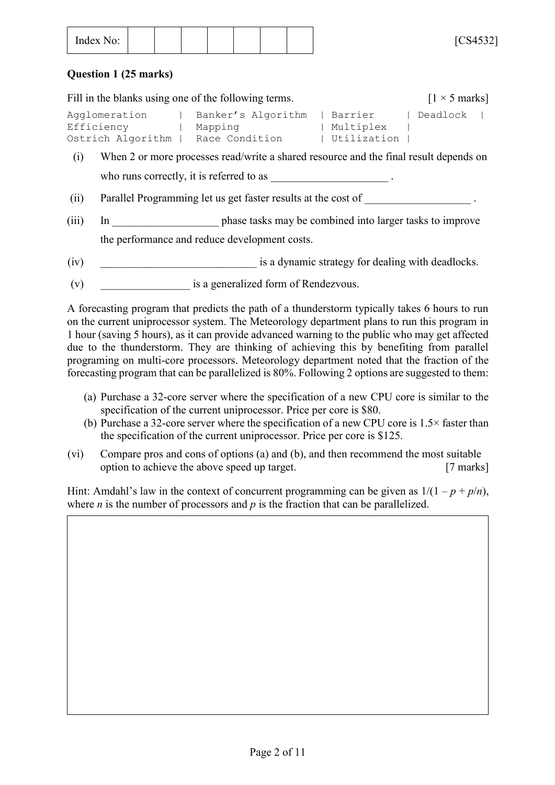| $ -$<br>Index No: |
|-------------------|
|-------------------|

#### **Question 1 (25 marks)**

| Fill in the blanks using one of the following terms. | $\lceil 1 \times 5 \text{ marks} \rceil$ |               |  |            |  |
|------------------------------------------------------|------------------------------------------|---------------|--|------------|--|
| Aqqlomeration                                        | Banker's Algorithm                       | Barrier       |  | l Deadlock |  |
| Efficiency                                           | Mapping                                  | Multiplex     |  |            |  |
| Ostrich Algorithm                                    | Race Condition                           | , Utilization |  |            |  |

- (i) When 2 or more processes read/write a shared resource and the final result depends on who runs correctly, it is referred to as
- (ii) Parallel Programming let us get faster results at the cost of
- (iii) In phase tasks may be combined into larger tasks to improve the performance and reduce development costs.
- (iv) is a dynamic strategy for dealing with deadlocks.
- (v) is a generalized form of Rendezvous.

A forecasting program that predicts the path of a thunderstorm typically takes 6 hours to run on the current uniprocessor system. The Meteorology department plans to run this program in 1 hour (saving 5 hours), as it can provide advanced warning to the public who may get affected due to the thunderstorm. They are thinking of achieving this by benefiting from parallel programing on multi-core processors. Meteorology department noted that the fraction of the forecasting program that can be parallelized is 80%. Following 2 options are suggested to them:

- (a) Purchase a 32-core server where the specification of a new CPU core is similar to the specification of the current uniprocessor. Price per core is \$80.
- (b) Purchase a 32-core server where the specification of a new CPU core is 1.5× faster than the specification of the current uniprocessor. Price per core is \$125.
- (vi) Compare pros and cons of options (a) and (b), and then recommend the most suitable option to achieve the above speed up target. [7 marks]

Hint: Amdahl's law in the context of concurrent programming can be given as  $1/(1 - p + p/n)$ , where *n* is the number of processors and *p* is the fraction that can be parallelized.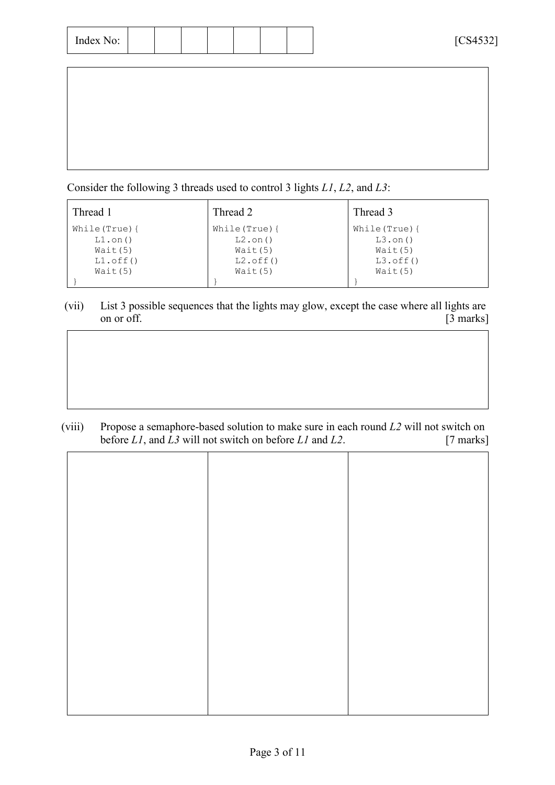| Index No: |  |  |  |  |  |  |  |
|-----------|--|--|--|--|--|--|--|
|-----------|--|--|--|--|--|--|--|

Consider the following 3 threads used to control 3 lights *L1*, *L2*, and *L3*:

| Thread 1                | Thread 2                | Thread 3                |
|-------------------------|-------------------------|-------------------------|
| While $(\text{True})$ { | While $(\text{True})$ { | While $(\text{True})$ { |
| $L1.$ on()              | $L2.$ on $()$           | $L3.$ on()              |
| Wait(5)                 | Wait(5)                 | Wait(5)                 |
| $LI.$ off $()$          | $L2.$ off $()$          | $L3.$ off $()$          |
| Wait(5)                 | Wait(5)                 | Wait(5)                 |
|                         |                         |                         |

(vii) List 3 possible sequences that the lights may glow, except the case where all lights are on or off. [3 marks]

(viii) Propose a semaphore-based solution to make sure in each round *L2* will not switch on before *L1*, and *L3* will not switch on before *L1* and *L2*. [7 marks]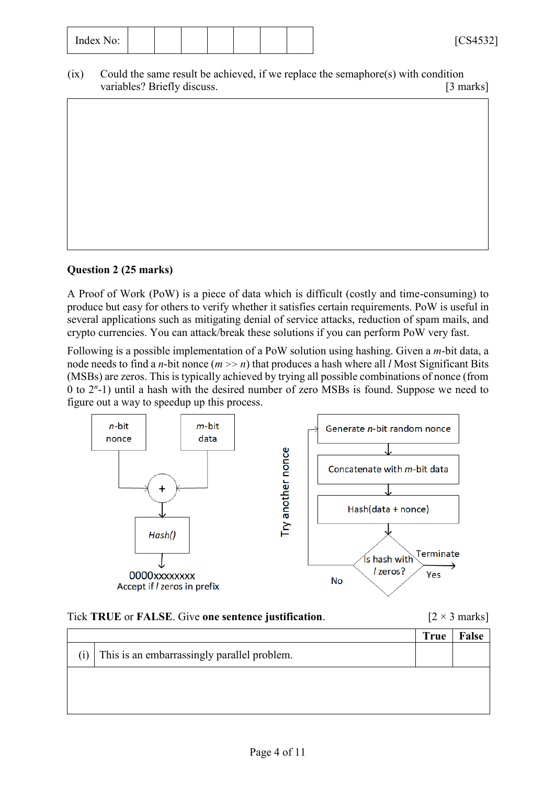| $\tilde{\phantom{a}}$<br>Index<br>$N\Omega$<br>IV. |  |  |  |  |  |  |  | F C C A E 221<br>$\sim$ .<br>◡◡⊤◡◡∠ |
|----------------------------------------------------|--|--|--|--|--|--|--|-------------------------------------|
|----------------------------------------------------|--|--|--|--|--|--|--|-------------------------------------|

(ix) Could the same result be achieved, if we replace the semaphore(s) with condition variables? Briefly discuss. [3 marks] variables? Briefly discuss.

# **Question 2 (25 marks)**

A Proof of Work (PoW) is a piece of data which is difficult (costly and time-consuming) to produce but easy for others to verify whether it satisfies certain requirements. PoW is useful in several applications such as mitigating denial of service attacks, reduction of spam mails, and crypto currencies. You can attack/break these solutions if you can perform PoW very fast.

Following is a possible implementation of a PoW solution using hashing. Given a *m*-bit data, a node needs to find a *n*-bit nonce (*m >> n*) that produces a hash where all *l* Most Significant Bits (MSBs) are zeros. This is typically achieved by trying all possible combinations of nonce (from 0 to 2*<sup>n</sup>* -1) until a hash with the desired number of zero MSBs is found. Suppose we need to figure out a way to speedup up this process.



#### Tick **TRUE** or **FALSE**. Give one sentence justification.  $[2 \times 3 \text{ marks}]$

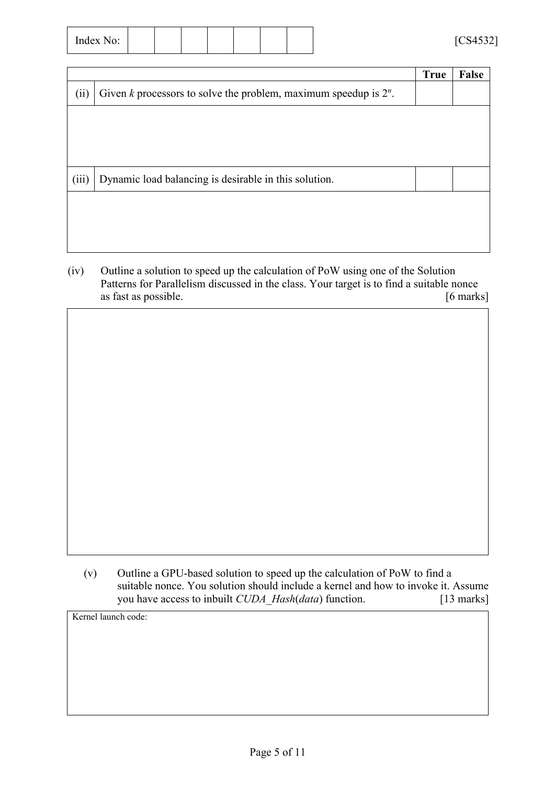| $\sim$ $\sim$<br>Index No: |  |  |  |  |  |  |  | TCRA<br>$C$ 54532<br>- |
|----------------------------|--|--|--|--|--|--|--|------------------------|
|----------------------------|--|--|--|--|--|--|--|------------------------|

|       |                                                                       | <b>True</b> | False |
|-------|-----------------------------------------------------------------------|-------------|-------|
| (ii)  | Given $k$ processors to solve the problem, maximum speedup is $2^n$ . |             |       |
|       |                                                                       |             |       |
|       |                                                                       |             |       |
|       |                                                                       |             |       |
| (iii) | Dynamic load balancing is desirable in this solution.                 |             |       |
|       |                                                                       |             |       |
|       |                                                                       |             |       |
|       |                                                                       |             |       |

(iv) Outline a solution to speed up the calculation of PoW using one of the Solution Patterns for Parallelism discussed in the class. Your target is to find a suitable nonce as fast as possible. [6 marks]

(v) Outline a GPU-based solution to speed up the calculation of PoW to find a suitable nonce. You solution should include a kernel and how to invoke it. Assume you have access to inbuilt *CUDA* Hash(*data*) function. [13 marks]

Kernel launch code: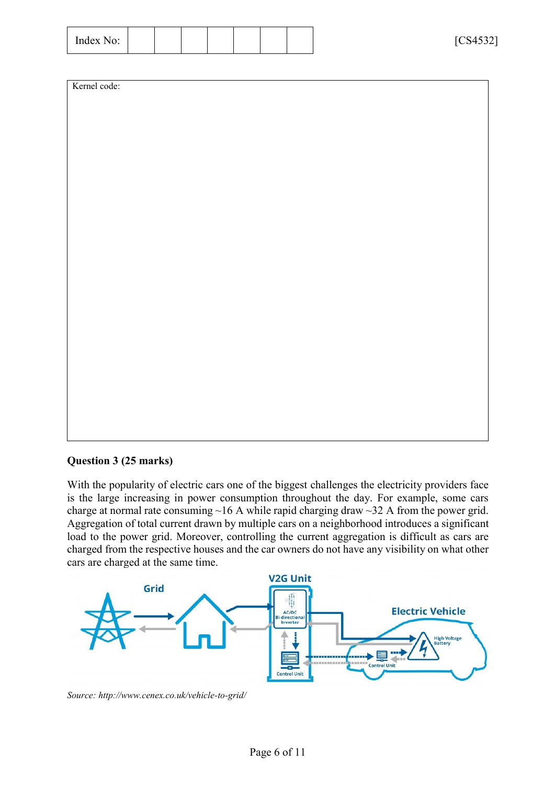| $\overline{\phantom{a}}$<br>Index<br>No.<br>10.<br>---------- | $F_{C}$ $A$ $F$ $22$<br>. <i>.</i> .<br>UUTJJL<br>- |
|---------------------------------------------------------------|-----------------------------------------------------|
|---------------------------------------------------------------|-----------------------------------------------------|

#### **Question 3 (25 marks)**

With the popularity of electric cars one of the biggest challenges the electricity providers face is the large increasing in power consumption throughout the day. For example, some cars charge at normal rate consuming  $~16$  A while rapid charging draw  $~32$  A from the power grid. Aggregation of total current drawn by multiple cars on a neighborhood introduces a significant load to the power grid. Moreover, controlling the current aggregation is difficult as cars are charged from the respective houses and the car owners do not have any visibility on what other cars are charged at the same time.



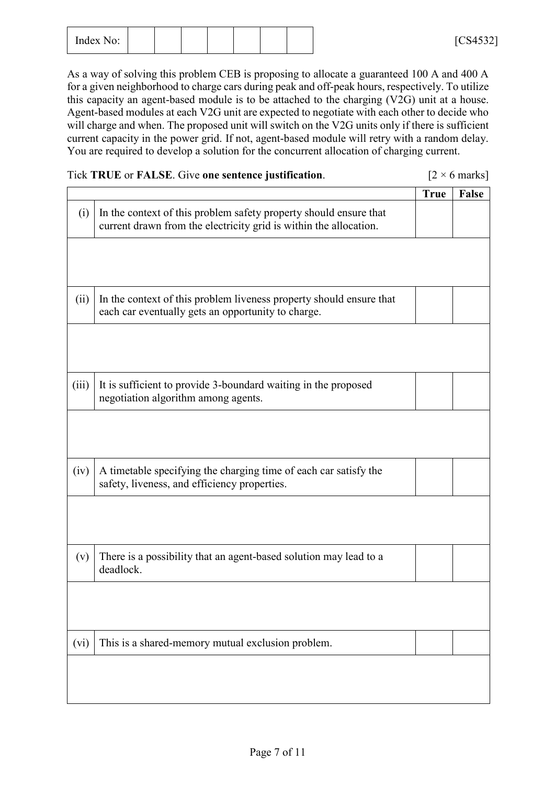| $\overline{\phantom{a}}$<br>Index No:<br>$\mathbf{H} \mathbf{u} \mathbf{v}$ $\mathbf{A} \mathbf{v} \mathbf{v}$ |  |  |  |  |  |  |  | F C C A E 221<br>$\cdot$ / I<br>$\cup$ ut $\cup$<br>- |
|----------------------------------------------------------------------------------------------------------------|--|--|--|--|--|--|--|-------------------------------------------------------|
|----------------------------------------------------------------------------------------------------------------|--|--|--|--|--|--|--|-------------------------------------------------------|

As a way of solving this problem CEB is proposing to allocate a guaranteed 100 A and 400 A for a given neighborhood to charge cars during peak and off-peak hours, respectively. To utilize this capacity an agent-based module is to be attached to the charging (V2G) unit at a house. Agent-based modules at each V2G unit are expected to negotiate with each other to decide who will charge and when. The proposed unit will switch on the V2G units only if there is sufficient current capacity in the power grid. If not, agent-based module will retry with a random delay. You are required to develop a solution for the concurrent allocation of charging current.

| Tick TRUE or FALSE. Give one sentence justification. | $[2 \times 6 \text{ marks}]$ |
|------------------------------------------------------|------------------------------|
|------------------------------------------------------|------------------------------|

|       |                                                                                                                                        | <b>True</b> | <b>False</b> |
|-------|----------------------------------------------------------------------------------------------------------------------------------------|-------------|--------------|
| (i)   | In the context of this problem safety property should ensure that<br>current drawn from the electricity grid is within the allocation. |             |              |
|       |                                                                                                                                        |             |              |
|       |                                                                                                                                        |             |              |
| (ii)  | In the context of this problem liveness property should ensure that<br>each car eventually gets an opportunity to charge.              |             |              |
|       |                                                                                                                                        |             |              |
|       |                                                                                                                                        |             |              |
| (iii) | It is sufficient to provide 3-boundard waiting in the proposed<br>negotiation algorithm among agents.                                  |             |              |
|       |                                                                                                                                        |             |              |
|       |                                                                                                                                        |             |              |
| (iv)  | A timetable specifying the charging time of each car satisfy the<br>safety, liveness, and efficiency properties.                       |             |              |
|       |                                                                                                                                        |             |              |
|       |                                                                                                                                        |             |              |
| (v)   | There is a possibility that an agent-based solution may lead to a<br>deadlock.                                                         |             |              |
|       |                                                                                                                                        |             |              |
|       |                                                                                                                                        |             |              |
| (vi)  | This is a shared-memory mutual exclusion problem.                                                                                      |             |              |
|       |                                                                                                                                        |             |              |
|       |                                                                                                                                        |             |              |
|       |                                                                                                                                        |             |              |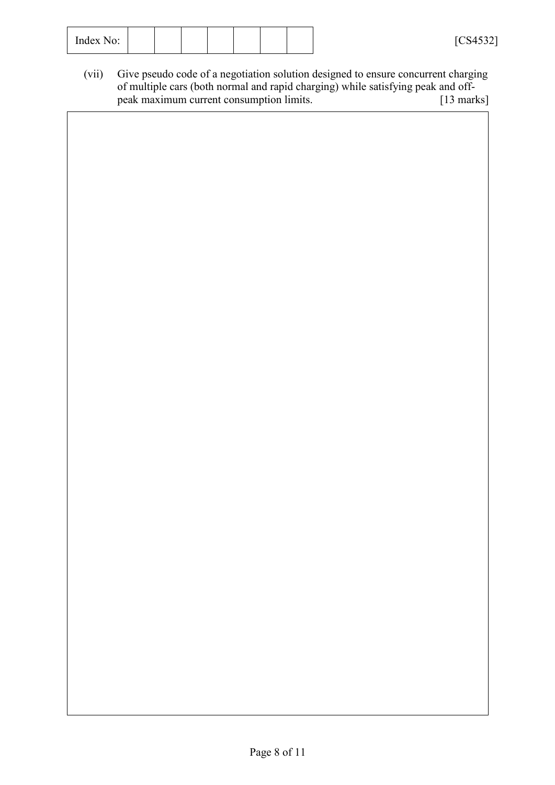| $\overline{\phantom{a}}$<br>$ -$<br>Index No:<br>---------- |  |  |  | F C C A E 221<br>.<br>◡◡⊤◡◡∠<br>- |
|-------------------------------------------------------------|--|--|--|-----------------------------------|
|                                                             |  |  |  |                                   |

(vii) Give pseudo code of a negotiation solution designed to ensure concurrent charging of multiple cars (both normal and rapid charging) while satisfying peak and offpeak maximum current consumption limits.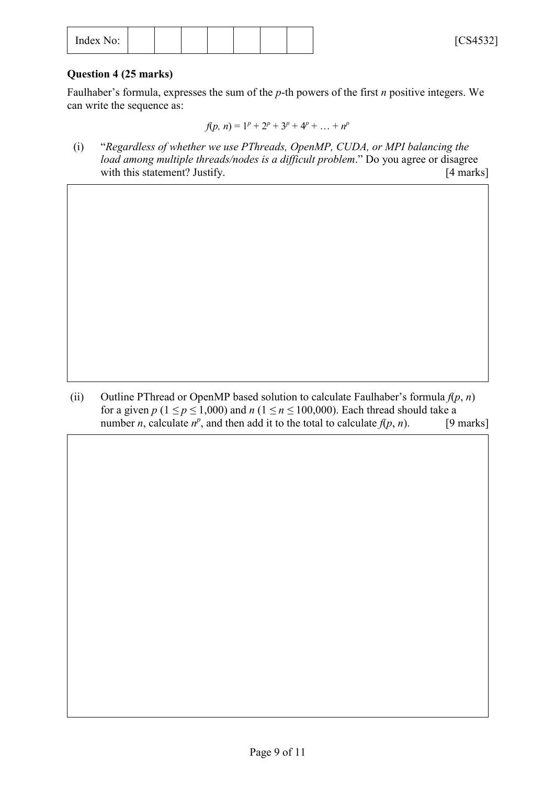| $\tilde{\phantom{a}}$<br>Index No: |  |  |  |  |  |  |  | F C C A E 221<br>∼<br>UUTJJL |
|------------------------------------|--|--|--|--|--|--|--|------------------------------|
|------------------------------------|--|--|--|--|--|--|--|------------------------------|

### **Question 4 (25 marks)**

Faulhaber's formula, expresses the sum of the *p*-th powers of the first *n* positive integers. We can write the sequence as:

$$
f(p, n) = 1p + 2p + 3p + 4p + ... + np
$$

(i) "*Regardless of whether we use PThreads, OpenMP, CUDA, or MPI balancing the load among multiple threads/nodes is a difficult problem*." Do you agree or disagree with this statement? Justify. [4 marks]

(ii) Outline PThread or OpenMP based solution to calculate Faulhaber's formula *f*(*p*, *n*) for a given  $p$  ( $1 \leq p \leq 1,000$ ) and  $n$  ( $1 \leq n \leq 100,000$ ). Each thread should take a number *n*, calculate  $n^p$ , and then add it to the total to calculate  $f(p, n)$ . [9 marks]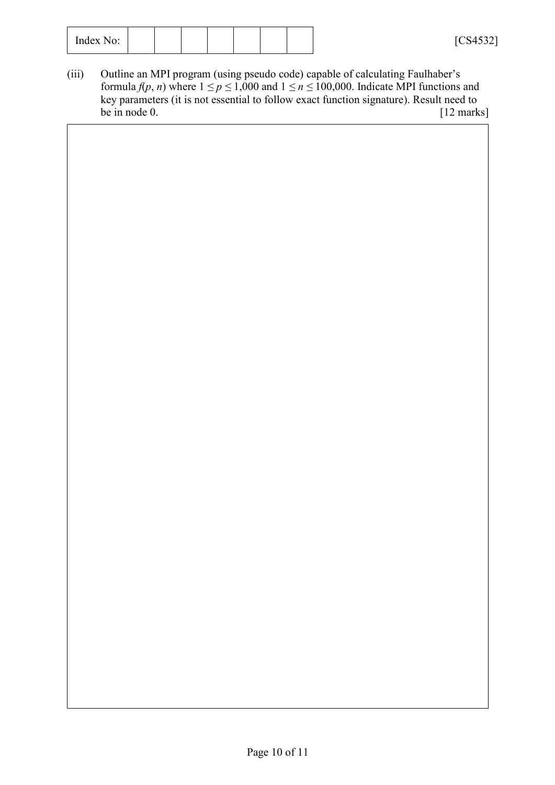| ◡◡⊤◡◡∠ | F C C A E 221<br>$\overline{\phantom{a}}$<br>Index No: |
|--------|--------------------------------------------------------|
|--------|--------------------------------------------------------|

(iii) Outline an MPI program (using pseudo code) capable of calculating Faulhaber's formula  $f(p, n)$  where  $1 \le p \le 1,000$  and  $1 \le n \le 100,000$ . Indicate MPI functions and key parameters (it is not essential to follow exact function signature). Result need to<br>be in node 0. [12 marks] be in node  $0$ .